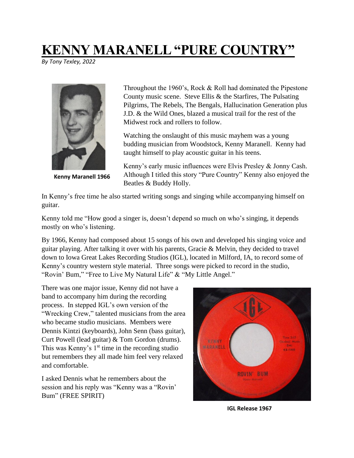## **KENNY MARANELL "PURE COUNTRY"**

*By Tony Texley, 2022*



**Kenny Maranell 1966**

Throughout the 1960's, Rock & Roll had dominated the Pipestone County music scene. Steve Ellis & the Starfires, The Pulsating Pilgrims, The Rebels, The Bengals, Hallucination Generation plus J.D. & the Wild Ones, blazed a musical trail for the rest of the Midwest rock and rollers to follow.

Watching the onslaught of this music mayhem was a young budding musician from Woodstock, Kenny Maranell. Kenny had taught himself to play acoustic guitar in his teens.

Kenny's early music influences were Elvis Presley & Jonny Cash. Although I titled this story "Pure Country" Kenny also enjoyed the Beatles & Buddy Holly.

In Kenny's free time he also started writing songs and singing while accompanying himself on guitar.

Kenny told me "How good a singer is, doesn't depend so much on who's singing, it depends mostly on who's listening.

By 1966, Kenny had composed about 15 songs of his own and developed his singing voice and guitar playing. After talking it over with his parents, Gracie & Melvin, they decided to travel down to Iowa Great Lakes Recording Studios (IGL), located in Milford, IA, to record some of Kenny's country western style material. Three songs were picked to record in the studio, "Rovin' Bum," "Free to Live My Natural Life" & "My Little Angel."

There was one major issue, Kenny did not have a band to accompany him during the recording process. In stepped IGL's own version of the "Wrecking Crew," talented musicians from the area who became studio musicians. Members were Dennis Kintzi (keyboards), John Senn (bass guitar), Curt Powell (lead guitar) & Tom Gordon (drums). This was Kenny's  $1<sup>st</sup>$  time in the recording studio but remembers they all made him feel very relaxed and comfortable.

I asked Dennis what he remembers about the session and his reply was "Kenny was a "Rovin' Bum" (FREE SPIRIT)



**IGL Release 1967**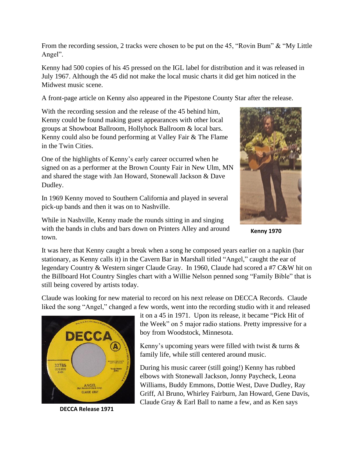From the recording session, 2 tracks were chosen to be put on the 45, "Rovin Bum" & "My Little Angel".

Kenny had 500 copies of his 45 pressed on the IGL label for distribution and it was released in July 1967. Although the 45 did not make the local music charts it did get him noticed in the Midwest music scene.

A front-page article on Kenny also appeared in the Pipestone County Star after the release.

With the recording session and the release of the 45 behind him, Kenny could be found making guest appearances with other local groups at Showboat Ballroom, Hollyhock Ballroom & local bars. Kenny could also be found performing at Valley Fair & The Flame in the Twin Cities.

One of the highlights of Kenny's early career occurred when he signed on as a performer at the Brown County Fair in New Ulm, MN and shared the stage with Jan Howard, Stonewall Jackson & Dave Dudley.

In 1969 Kenny moved to Southern California and played in several pick-up bands and then it was on to Nashville.

While in Nashville, Kenny made the rounds sitting in and singing with the bands in clubs and bars down on Printers Alley and around town.



**Kenny 1970**

It was here that Kenny caught a break when a song he composed years earlier on a napkin (bar stationary, as Kenny calls it) in the Cavern Bar in Marshall titled "Angel," caught the ear of legendary Country & Western singer Claude Gray. In 1960, Claude had scored a #7 C&W hit on the Billboard Hot Country Singles chart with a Willie Nelson penned song "Family Bible" that is still being covered by artists today.

Claude was looking for new material to record on his next release on DECCA Records. Claude liked the song "Angel," changed a few words, went into the recording studio with it and released



**DECCA Release 1971**

it on a 45 in 1971. Upon its release, it became "Pick Hit of the Week" on 5 major radio stations. Pretty impressive for a boy from Woodstock, Minnesota.

Kenny's upcoming years were filled with twist  $&$  turns  $&$ family life, while still centered around music.

During his music career (still going!) Kenny has rubbed elbows with Stonewall Jackson, Jonny Paycheck, Leona Williams, Buddy Emmons, Dottie West, Dave Dudley, Ray Griff, Al Bruno, Whirley Fairburn, Jan Howard, Gene Davis, Claude Gray & Earl Ball to name a few, and as Ken says